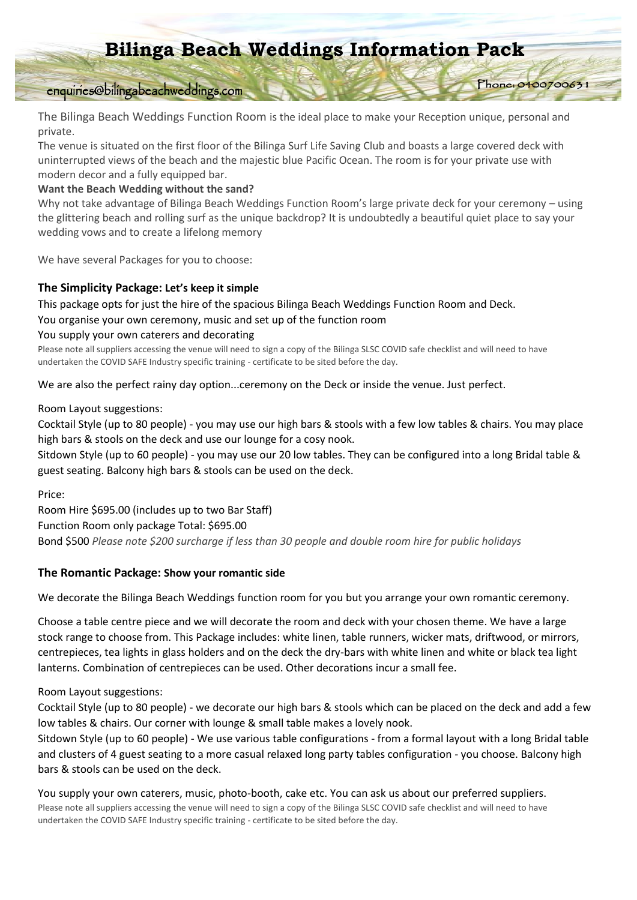# **Bilinga Beach Weddings Information Pack**

Phone: 040070063

# enquiries@bilingabeachweddings.com

The Bilinga Beach Weddings Function Room is the ideal place to make your Reception unique, personal and private.

The venue is situated on the first floor of the Bilinga Surf Life Saving Club and boasts a large covered deck with uninterrupted views of the beach and the majestic blue Pacific Ocean. The room is for your private use with modern decor and a fully equipped bar.

### **Want the Beach Wedding without the sand?**

Why not take advantage of Bilinga Beach Weddings Function Room's large private deck for your ceremony – using the glittering beach and rolling surf as the unique backdrop? It is undoubtedly a beautiful quiet place to say your wedding vows and to create a lifelong memory

We have several Packages for you to choose:

### **The Simplicity Package: Let's keep it simple**

This package opts for just the hire of the spacious Bilinga Beach Weddings Function Room and Deck.

You organise your own ceremony, music and set up of the function room

### You supply your own caterers and decorating

Please note all suppliers accessing the venue will need to sign a copy of the Bilinga SLSC COVID safe checklist and will need to have undertaken the COVID SAFE Industry specific training - certificate to be sited before the day.

We are also the perfect rainy day option...ceremony on the Deck or inside the venue. Just perfect.

Room Layout suggestions:

Cocktail Style (up to 80 people) - you may use our high bars & stools with a few low tables & chairs. You may place high bars & stools on the deck and use our lounge for a cosy nook.

Sitdown Style (up to 60 people) - you may use our 20 low tables. They can be configured into a long Bridal table & guest seating. Balcony high bars & stools can be used on the deck.

Price:

Room Hire \$695.00 (includes up to two Bar Staff) Function Room only package Total: \$695.00 Bond \$500 *Please note \$200 surcharge if less than 30 people and double room hire for public holidays*

# **The Romantic Package: Show your romantic side**

We decorate the Bilinga Beach Weddings function room for you but you arrange your own romantic ceremony.

Choose a table centre piece and we will decorate the room and deck with your chosen theme. We have a large stock range to choose from. This Package includes: white linen, table runners, wicker mats, driftwood, or mirrors, centrepieces, tea lights in glass holders and on the deck the dry-bars with white linen and white or black tea light lanterns. Combination of centrepieces can be used. Other decorations incur a small fee.

Room Layout suggestions:

Cocktail Style (up to 80 people) - we decorate our high bars & stools which can be placed on the deck and add a few low tables & chairs. Our corner with lounge & small table makes a lovely nook.

Sitdown Style (up to 60 people) - We use various table configurations - from a formal layout with a long Bridal table and clusters of 4 guest seating to a more casual relaxed long party tables configuration - you choose. Balcony high bars & stools can be used on the deck.

You supply your own caterers, music, photo-booth, cake etc. You can ask us about our preferred suppliers. Please note all suppliers accessing the venue will need to sign a copy of the Bilinga SLSC COVID safe checklist and will need to have undertaken the COVID SAFE Industry specific training - certificate to be sited before the day.